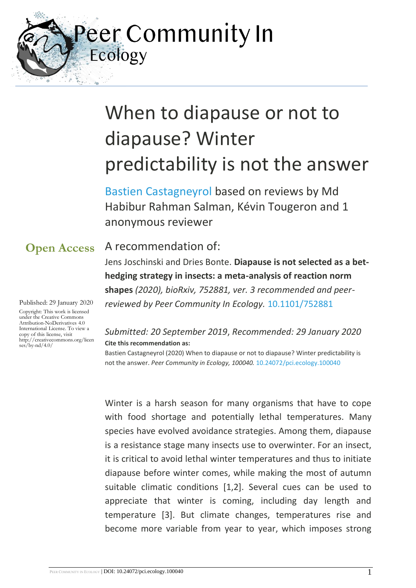Peer Community In Ecology

# When to diapause or not to diapause? Winter predictability is not the answer

[Bastien Castagneyrol](https://ecology.peercommunityin.org/public/viewUserCard?userId=748) based on reviews by Md Habibur Rahman Salman, Kévin Tougeron and 1 anonymous reviewer

## **Open Access**

Published: 29 January 2020

Copyright: This work is licensed under the Creative Commons Attribution-NoDerivatives 4.0 International License. To view a copy of this license, visit http://creativecommons.org/licen  $ses/bv-nd/4.0/$ 

## A recommendation of:

Jens Joschinski and Dries Bonte. **Diapause is not selected as a bethedging strategy in insects: a meta-analysis of reaction norm shapes** *(2020), bioRxiv, 752881, ver. 3 recommended and peerreviewed by Peer Community In Ecology.* [10.1101/752881](https://doi.org/10.1101/752881)

#### *Submitted: 20 September 2019*, *Recommended: 29 January 2020* **Cite this recommendation as:**

Bastien Castagneyrol (2020) When to diapause or not to diapause? Winter predictability is not the answer. *Peer Community in Ecology, 100040.* [10.24072/pci.ecology.100040](https://doi.org/10.24072/pci.ecology.100040)

Winter is a harsh season for many organisms that have to cope with food shortage and potentially lethal temperatures. Many species have evolved avoidance strategies. Among them, diapause is a resistance stage many insects use to overwinter. For an insect, it is critical to avoid lethal winter temperatures and thus to initiate diapause before winter comes, while making the most of autumn suitable climatic conditions [1,2]. Several cues can be used to appreciate that winter is coming, including day length and temperature [3]. But climate changes, temperatures rise and become more variable from year to year, which imposes strong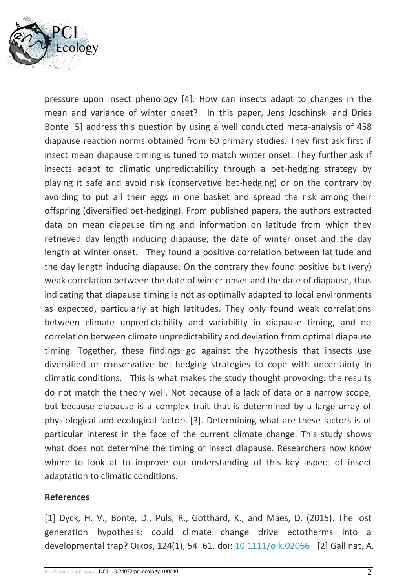

pressure upon insect phenology [4]. How can insects adapt to changes in the mean and variance of winter onset? In this paper, Jens Joschinski and Dries Bonte [5] address this question by using a well conducted meta-analysis of 458 diapause reaction norms obtained from 60 primary studies. They first ask first if insect mean diapause timing is tuned to match winter onset. They further ask if insects adapt to climatic unpredictability through a bet-hedging strategy by playing it safe and avoid risk (conservative bet-hedging) or on the contrary by avoiding to put all their eggs in one basket and spread the risk among their offspring (diversified bet-hedging). From published papers, the authors extracted data on mean diapause timing and information on latitude from which they retrieved day length inducing diapause, the date of winter onset and the day length at winter onset. They found a positive correlation between latitude and the day length inducing diapause. On the contrary they found positive but (very) weak correlation between the date of winter onset and the date of diapause, thus indicating that diapause timing is not as optimally adapted to local environments as expected, particularly at high latitudes. They only found weak correlations between climate unpredictability and variability in diapause timing, and no correlation between climate unpredictability and deviation from optimal diapause timing. Together, these findings go against the hypothesis that insects use diversified or conservative bet-hedging strategies to cope with uncertainty in climatic conditions. This is what makes the study thought provoking: the results do not match the theory well. Not because of a lack of data or a narrow scope, but because diapause is a complex trait that is determined by a large array of physiological and ecological factors [3]. Determining what are these factors is of particular interest in the face of the current climate change. This study shows what does not determine the timing of insect diapause. Researchers now know where to look at to improve our understanding of this key aspect of insect adaptation to climatic conditions.

#### **References**

[1] Dyck, H. V., Bonte, D., Puls, R., Gotthard, K., and Maes, D. (2015). The lost generation hypothesis: could climate change drive ectotherms into a developmental trap? Oikos, 124(1), 54–61. doi: [10.1111/oik.02066](https://dx.doi.org/10.1111/oik.02066) [2] Gallinat, A.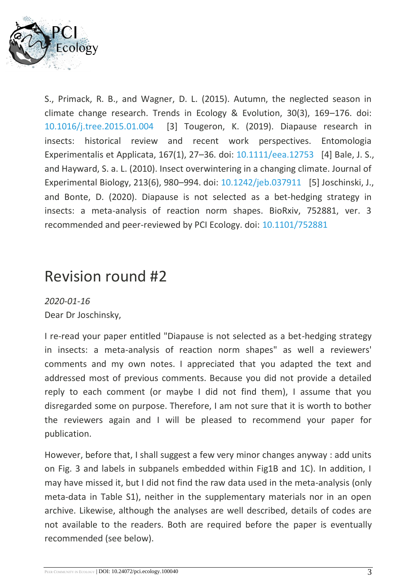

S., Primack, R. B., and Wagner, D. L. (2015). Autumn, the neglected season in climate change research. Trends in Ecology & Evolution, 30(3), 169–176. doi: [10.1016/j.tree.2015.01.004](https://dx.doi.org/10.1016/j.tree.2015.01.004) [3] Tougeron, K. (2019). Diapause research in insects: historical review and recent work perspectives. Entomologia Experimentalis et Applicata, 167(1), 27–36. doi: [10.1111/eea.12753](https://dx.doi.org/10.1111/eea.12753) [4] Bale, J. S., and Hayward, S. a. L. (2010). Insect overwintering in a changing climate. Journal of Experimental Biology, 213(6), 980–994. doi: [10.1242/jeb.037911](https://dx.doi.org/10.1242/jeb.037911) [5] Joschinski, J., and Bonte, D. (2020). Diapause is not selected as a bet-hedging strategy in insects: a meta-analysis of reaction norm shapes. BioRxiv, 752881, ver. 3 recommended and peer-reviewed by PCI Ecology. doi: [10.1101/752881](https://dx.doi.org/10.1101/752881)

## Revision round #2

*2020-01-16* Dear Dr Joschinsky,

I re-read your paper entitled "Diapause is not selected as a bet-hedging strategy in insects: a meta-analysis of reaction norm shapes" as well a reviewers' comments and my own notes. I appreciated that you adapted the text and addressed most of previous comments. Because you did not provide a detailed reply to each comment (or maybe I did not find them), I assume that you disregarded some on purpose. Therefore, I am not sure that it is worth to bother the reviewers again and I will be pleased to recommend your paper for publication.

However, before that, I shall suggest a few very minor changes anyway : add units on Fig. 3 and labels in subpanels embedded within Fig1B and 1C). In addition, I may have missed it, but I did not find the raw data used in the meta-analysis (only meta-data in Table S1), neither in the supplementary materials nor in an open archive. Likewise, although the analyses are well described, details of codes are not available to the readers. Both are required before the paper is eventually recommended (see below).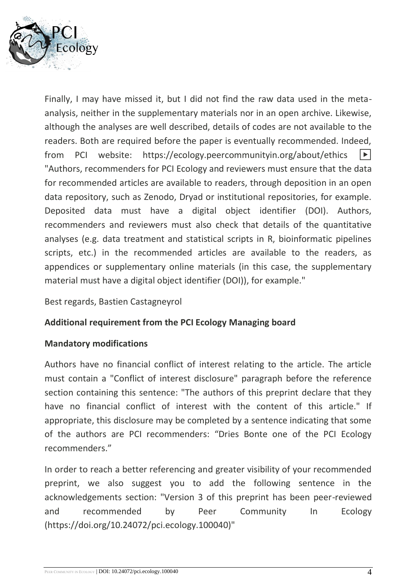

Finally, I may have missed it, but I did not find the raw data used in the metaanalysis, neither in the supplementary materials nor in an open archive. Likewise, although the analyses are well described, details of codes are not available to the readers. Both are required before the paper is eventually recommended. Indeed, from PCI website: https://ecology.peercommunityin.org/about/ethics  $|\bullet|$ "Authors, recommenders for PCI Ecology and reviewers must ensure that the data for recommended articles are available to readers, through deposition in an open data repository, such as Zenodo, Dryad or institutional repositories, for example. Deposited data must have a digital object identifier (DOI). Authors, recommenders and reviewers must also check that details of the quantitative analyses (e.g. data treatment and statistical scripts in R, bioinformatic pipelines scripts, etc.) in the recommended articles are available to the readers, as appendices or supplementary online materials (in this case, the supplementary material must have a digital object identifier (DOI)), for example."

#### Best regards, Bastien Castagneyrol

#### **Additional requirement from the PCI Ecology Managing board**

#### **Mandatory modifications**

Authors have no financial conflict of interest relating to the article. The article must contain a "Conflict of interest disclosure" paragraph before the reference section containing this sentence: "The authors of this preprint declare that they have no financial conflict of interest with the content of this article." If appropriate, this disclosure may be completed by a sentence indicating that some of the authors are PCI recommenders: "Dries Bonte one of the PCI Ecology recommenders."

In order to reach a better referencing and greater visibility of your recommended preprint, we also suggest you to add the following sentence in the acknowledgements section: "Version 3 of this preprint has been peer-reviewed and recommended by Peer Community In Ecology (https://doi.org/10.24072/pci.ecology.100040)"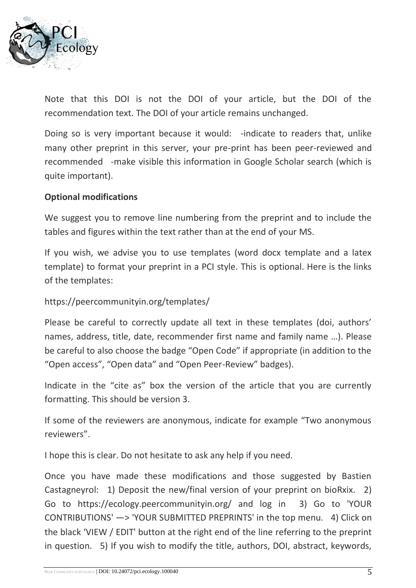

Note that this DOI is not the DOI of your article, but the DOI of the recommendation text. The DOI of your article remains unchanged.

Doing so is very important because it would: -indicate to readers that, unlike many other preprint in this server, your pre-print has been peer-reviewed and recommended -make visible this information in Google Scholar search (which is quite important).

#### **Optional modifications**

We suggest you to remove line numbering from the preprint and to include the tables and figures within the text rather than at the end of your MS.

If you wish, we advise you to use templates (word docx template and a latex template) to format your preprint in a PCI style. This is optional. Here is the links of the templates:

#### https://peercommunityin.org/templates/

Please be careful to correctly update all text in these templates (doi, authors' names, address, title, date, recommender first name and family name …). Please be careful to also choose the badge "Open Code" if appropriate (in addition to the "Open access", "Open data" and "Open Peer-Review" badges).

Indicate in the "cite as" box the version of the article that you are currently formatting. This should be version 3.

If some of the reviewers are anonymous, indicate for example "Two anonymous reviewers".

I hope this is clear. Do not hesitate to ask any help if you need.

Once you have made these modifications and those suggested by Bastien Castagneyrol: 1) Deposit the new/final version of your preprint on bioRxix. 2) Go to https://ecology.peercommunityin.org/ and log in 3) Go to 'YOUR CONTRIBUTIONS' —> 'YOUR SUBMITTED PREPRINTS' in the top menu. 4) Click on the black 'VIEW / EDIT' button at the right end of the line referring to the preprint in question. 5) If you wish to modify the title, authors, DOI, abstract, keywords,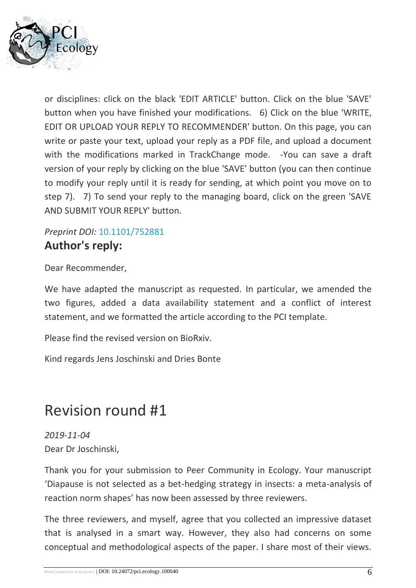

or disciplines: click on the black 'EDIT ARTICLE' button. Click on the blue 'SAVE' button when you have finished your modifications. 6) Click on the blue 'WRITE, EDIT OR UPLOAD YOUR REPLY TO RECOMMENDER' button. On this page, you can write or paste your text, upload your reply as a PDF file, and upload a document with the modifications marked in TrackChange mode. - You can save a draft version of your reply by clicking on the blue 'SAVE' button (you can then continue to modify your reply until it is ready for sending, at which point you move on to step 7). 7) To send your reply to the managing board, click on the green 'SAVE AND SUBMIT YOUR REPLY' button.

### *Preprint DOI:* [10.1101/752881](https://doi.org/10.1101/752881)  **Author's reply:**

Dear Recommender,

We have adapted the manuscript as requested. In particular, we amended the two figures, added a data availability statement and a conflict of interest statement, and we formatted the article according to the PCI template.

Please find the revised version on BioRxiv.

Kind regards Jens Joschinski and Dries Bonte

## Revision round #1

*2019-11-04* Dear Dr Joschinski,

Thank you for your submission to Peer Community in Ecology. Your manuscript 'Diapause is not selected as a bet-hedging strategy in insects: a meta-analysis of reaction norm shapes' has now been assessed by three reviewers.

The three reviewers, and myself, agree that you collected an impressive dataset that is analysed in a smart way. However, they also had concerns on some conceptual and methodological aspects of the paper. I share most of their views.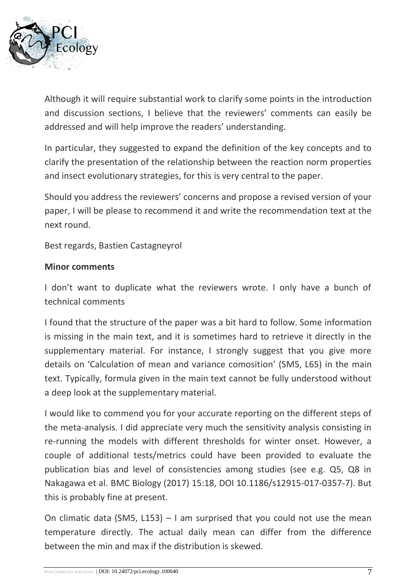

Although it will require substantial work to clarify some points in the introduction and discussion sections, I believe that the reviewers' comments can easily be addressed and will help improve the readers' understanding.

In particular, they suggested to expand the definition of the key concepts and to clarify the presentation of the relationship between the reaction norm properties and insect evolutionary strategies, for this is very central to the paper.

Should you address the reviewers' concerns and propose a revised version of your paper, I will be please to recommend it and write the recommendation text at the next round.

Best regards, Bastien Castagneyrol

#### **Minor comments**

I don't want to duplicate what the reviewers wrote. I only have a bunch of technical comments

I found that the structure of the paper was a bit hard to follow. Some information is missing in the main text, and it is sometimes hard to retrieve it directly in the supplementary material. For instance, I strongly suggest that you give more details on 'Calculation of mean and variance comosition' (SM5, L65) in the main text. Typically, formula given in the main text cannot be fully understood without a deep look at the supplementary material.

I would like to commend you for your accurate reporting on the different steps of the meta-analysis. I did appreciate very much the sensitivity analysis consisting in re-running the models with different thresholds for winter onset. However, a couple of additional tests/metrics could have been provided to evaluate the publication bias and level of consistencies among studies (see e.g. Q5, Q8 in Nakagawa et al. BMC Biology (2017) 15:18, DOI 10.1186/s12915-017-0357-7). But this is probably fine at present.

On climatic data (SM5, L153)  $-1$  am surprised that you could not use the mean temperature directly. The actual daily mean can differ from the difference between the min and max if the distribution is skewed.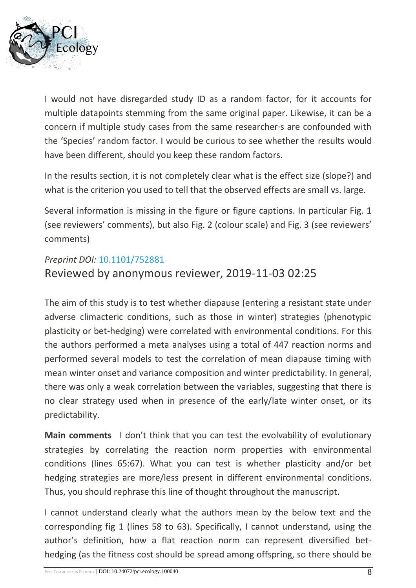

I would not have disregarded study ID as a random factor, for it accounts for multiple datapoints stemming from the same original paper. Likewise, it can be a concern if multiple study cases from the same researcher·s are confounded with the 'Species' random factor. I would be curious to see whether the results would have been different, should you keep these random factors.

In the results section, it is not completely clear what is the effect size (slope?) and what is the criterion you used to tell that the observed effects are small vs. large.

Several information is missing in the figure or figure captions. In particular Fig. 1 (see reviewers' comments), but also Fig. 2 (colour scale) and Fig. 3 (see reviewers' comments)

#### *Preprint DOI:* [10.1101/752881](https://doi.org/10.1101/752881)

### Reviewed by anonymous reviewer, 2019-11-03 02:25

The aim of this study is to test whether diapause (entering a resistant state under adverse climacteric conditions, such as those in winter) strategies (phenotypic plasticity or bet-hedging) were correlated with environmental conditions. For this the authors performed a meta analyses using a total of 447 reaction norms and performed several models to test the correlation of mean diapause timing with mean winter onset and variance composition and winter predictability. In general, there was only a weak correlation between the variables, suggesting that there is no clear strategy used when in presence of the early/late winter onset, or its predictability.

**Main comments** I don't think that you can test the evolvability of evolutionary strategies by correlating the reaction norm properties with environmental conditions (lines 65:67). What you can test is whether plasticity and/or bet hedging strategies are more/less present in different environmental conditions. Thus, you should rephrase this line of thought throughout the manuscript.

I cannot understand clearly what the authors mean by the below text and the corresponding fig 1 (lines 58 to 63). Specifically, I cannot understand, using the author's definition, how a flat reaction norm can represent diversified bethedging (as the fitness cost should be spread among offspring, so there should be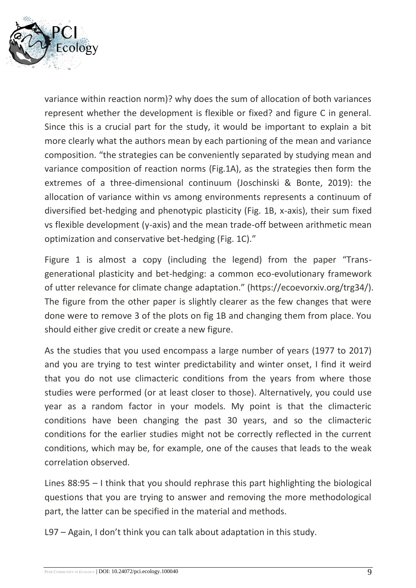

variance within reaction norm)? why does the sum of allocation of both variances represent whether the development is flexible or fixed? and figure C in general. Since this is a crucial part for the study, it would be important to explain a bit more clearly what the authors mean by each partioning of the mean and variance composition. "the strategies can be conveniently separated by studying mean and variance composition of reaction norms (Fig.1A), as the strategies then form the extremes of a three-dimensional continuum (Joschinski & Bonte, 2019): the allocation of variance within vs among environments represents a continuum of diversified bet-hedging and phenotypic plasticity (Fig. 1B, x-axis), their sum fixed vs flexible development (y-axis) and the mean trade-off between arithmetic mean optimization and conservative bet-hedging (Fig. 1C)."

Figure 1 is almost a copy (including the legend) from the paper "Transgenerational plasticity and bet-hedging: a common eco-evolutionary framework of utter relevance for climate change adaptation." (https://ecoevorxiv.org/trg34/). The figure from the other paper is slightly clearer as the few changes that were done were to remove 3 of the plots on fig 1B and changing them from place. You should either give credit or create a new figure.

As the studies that you used encompass a large number of years (1977 to 2017) and you are trying to test winter predictability and winter onset, I find it weird that you do not use climacteric conditions from the years from where those studies were performed (or at least closer to those). Alternatively, you could use year as a random factor in your models. My point is that the climacteric conditions have been changing the past 30 years, and so the climacteric conditions for the earlier studies might not be correctly reflected in the current conditions, which may be, for example, one of the causes that leads to the weak correlation observed.

Lines 88:95 – I think that you should rephrase this part highlighting the biological questions that you are trying to answer and removing the more methodological part, the latter can be specified in the material and methods.

L97 – Again, I don't think you can talk about adaptation in this study.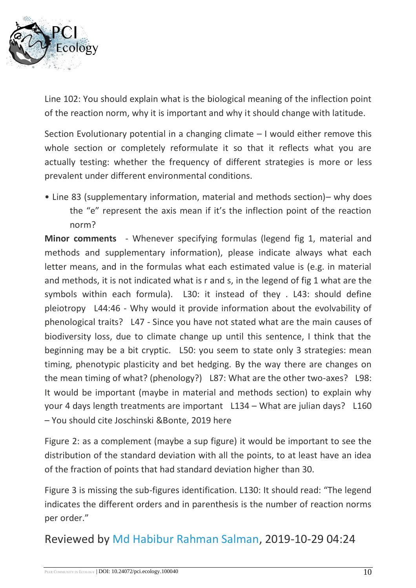

Line 102: You should explain what is the biological meaning of the inflection point of the reaction norm, why it is important and why it should change with latitude.

Section Evolutionary potential in a changing climate – I would either remove this whole section or completely reformulate it so that it reflects what you are actually testing: whether the frequency of different strategies is more or less prevalent under different environmental conditions.

• Line 83 (supplementary information, material and methods section)– why does the "e" represent the axis mean if it's the inflection point of the reaction norm?

**Minor comments** - Whenever specifying formulas (legend fig 1, material and methods and supplementary information), please indicate always what each letter means, and in the formulas what each estimated value is (e.g. in material and methods, it is not indicated what is r and s, in the legend of fig 1 what are the symbols within each formula). L30: it instead of they . L43: should define pleiotropy L44:46 - Why would it provide information about the evolvability of phenological traits? L47 - Since you have not stated what are the main causes of biodiversity loss, due to climate change up until this sentence, I think that the beginning may be a bit cryptic. L50: you seem to state only 3 strategies: mean timing, phenotypic plasticity and bet hedging. By the way there are changes on the mean timing of what? (phenology?) L87: What are the other two-axes? L98: It would be important (maybe in material and methods section) to explain why your 4 days length treatments are important L134 – What are julian days? L160 – You should cite Joschinski &Bonte, 2019 here

Figure 2: as a complement (maybe a sup figure) it would be important to see the distribution of the standard deviation with all the points, to at least have an idea of the fraction of points that had standard deviation higher than 30.

Figure 3 is missing the sub-figures identification. L130: It should read: "The legend indicates the different orders and in parenthesis is the number of reaction norms per order."

Reviewed by [Md Habibur Rahman Salman,](https://ecology.peercommunityin.org/public/viewUserCard?userId=1035) 2019-10-29 04:24